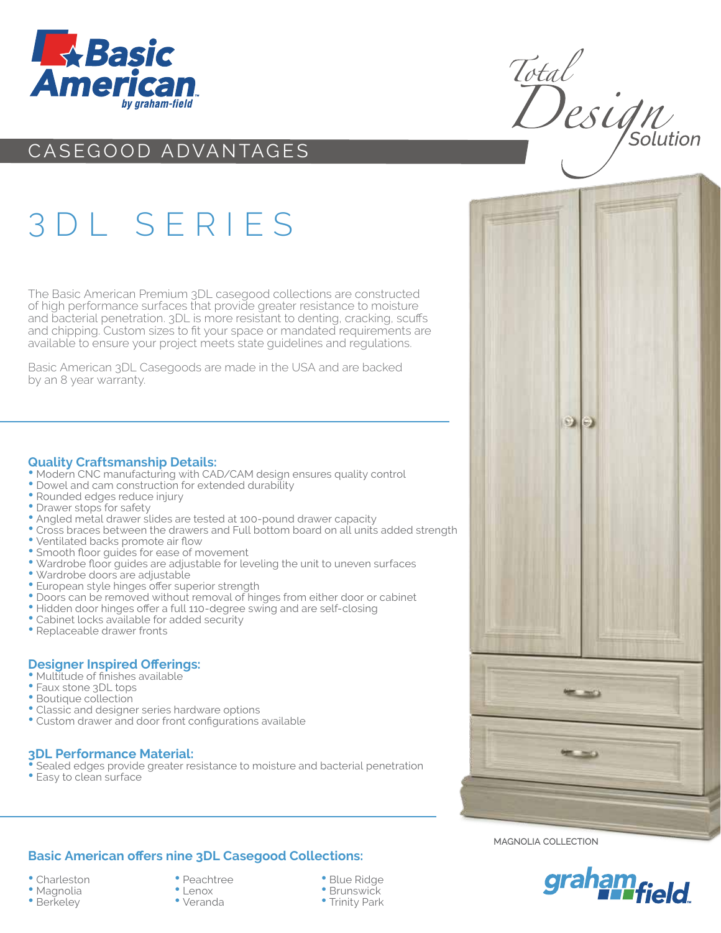

## CASEGOOD ADVANTAGES

## 3 DL SERIES

The Basic American Premium 3DL casegood collections are constructed of high performance surfaces that provide greater resistance to moisture and bacterial penetration. 3DL is more resistant to denting, cracking, scuffs and chipping. Custom sizes to fit your space or mandated requirements are available to ensure your project meets state guidelines and regulations.

Basic American 3DL Casegoods are made in the USA and are backed by an 8 year warranty.

#### **Quality Craftsmanship Details:**

- Modern CNC manufacturing with CAD/CAM design ensures quality control
- Dowel and cam construction for extended durability
- Rounded edges reduce injury
- Drawer stops for safety
- Angled metal drawer slides are tested at 100-pound drawer capacity
- Cross braces between the drawers and Full bottom board on all units added strength
- Ventilated backs promote air flow
- Smooth floor guides for ease of movement
- Wardrobe floor guides are adjustable for leveling the unit to uneven surfaces
- Wardrobe doors are adjustable
- European style hinges offer superior strength
- Doors can be removed without removal of hinges from either door or cabinet
- Hidden door hinges offer a full 110-degree swing and are self-closing
- Cabinet locks available for added security
- Replaceable drawer fronts

### **Designer Inspired Offerings:**

- Multitude of finishes available
- Faux stone 3DL tops
- Boutique collection
- Classic and designer series hardware options
- Custom drawer and door front configurations available

#### **3DL Performance Material:**

• Sealed edges provide greater resistance to moisture and bacterial penetration • Easy to clean surface

## **Basic American offers nine 3DL Casegood Collections:**

- Charleston
- Magnolia
- Berkeley
- Peachtree
- Lenox • Veranda
- Blue Ridge
- Brunswick
- Trinity Park

Total<br>Design



magnolia collection